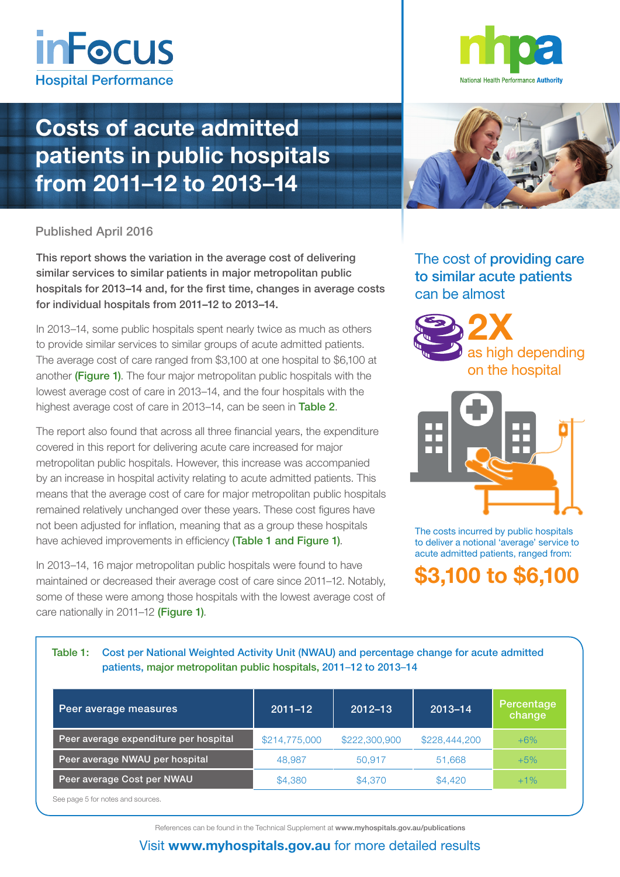

## Costs of acute admitted patients in public hospitals from 2011–12 to 2013–14

### Published April 2016

This report shows the variation in the average cost of delivering similar services to similar patients in major metropolitan public hospitals for 2013–14 and, for the first time, changes in average costs for individual hospitals from 2011–12 to 2013–14.

In 2013–14, some public hospitals spent nearly twice as much as others to provide similar services to similar groups of acute admitted patients. The average cost of care ranged from \$3,100 at one hospital to \$6,100 at another (Figure 1). The four major metropolitan public hospitals with the lowest average cost of care in 2013–14, and the four hospitals with the highest average cost of care in 2013–14, can be seen in Table 2.

The report also found that across all three financial years, the expenditure covered in this report for delivering acute care increased for major metropolitan public hospitals. However, this increase was accompanied by an increase in hospital activity relating to acute admitted patients. This means that the average cost of care for major metropolitan public hospitals remained relatively unchanged over these years. These cost figures have not been adjusted for inflation, meaning that as a group these hospitals have achieved improvements in efficiency (Table 1 and Figure 1).

In 2013–14, 16 major metropolitan public hospitals were found to have maintained or decreased their average cost of care since 2011–12. Notably, some of these were among those hospitals with the lowest average cost of care nationally in 2011–12 (Figure 1).





The cost of providing care to similar acute patients can be almost





The costs incurred by public hospitals to deliver a notional 'average' service to acute admitted patients, ranged from:

## \$3,100 to \$6,100

#### Table 1: Cost per National Weighted Activity Unit (NWAU) and percentage change for acute admitted patients, major metropolitan public hospitals, 2011–12 to 2013–14

| Peer average measures                 | $2011 - 12$   | $2012 - 13$   | $2013 - 14$   | Percentage<br>change |
|---------------------------------------|---------------|---------------|---------------|----------------------|
| Peer average expenditure per hospital | \$214,775,000 | \$222,300,900 | \$228,444,200 | $+6%$                |
| Peer average NWAU per hospital        | 48,987        | 50,917        | 51,668        | $+5\%$               |
| Peer average Cost per NWAU            | \$4,380       | \$4,370       | \$4,420       | $+1\%$               |

See page 5 for notes and sources.

References can be found in the Technical Supplement at [www.myhospitals.gov.au/publications](http://www.myhospitals.gov.au/publications)

### Visit [www.myhospitals.gov.au](http://www.myhospitals.gov.au/) for more detailed results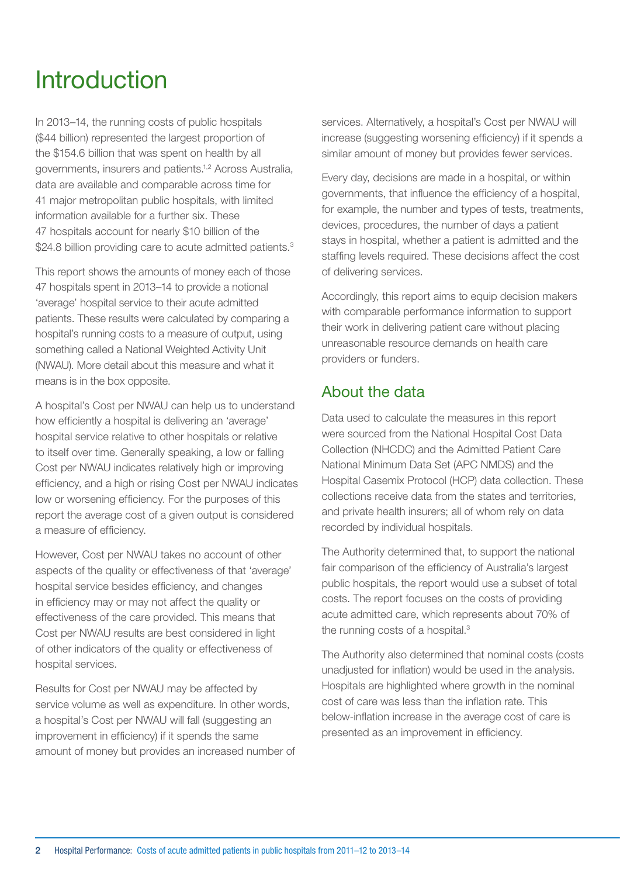## Introduction

In 2013–14, the running costs of public hospitals (\$44 billion) represented the largest proportion of the \$154.6 billion that was spent on health by all governments, insurers and patients.1,2 Across Australia, data are available and comparable across time for 41 major metropolitan public hospitals, with limited information available for a further six. These 47 hospitals account for nearly \$10 billion of the \$24.8 billion providing care to acute admitted patients.<sup>3</sup>

This report shows the amounts of money each of those 47 hospitals spent in 2013–14 to provide a notional 'average' hospital service to their acute admitted patients. These results were calculated by comparing a hospital's running costs to a measure of output, using something called a National Weighted Activity Unit (NWAU). More detail about this measure and what it means is in the box opposite.

A hospital's Cost per NWAU can help us to understand how efficiently a hospital is delivering an 'average' hospital service relative to other hospitals or relative to itself over time. Generally speaking, a low or falling Cost per NWAU indicates relatively high or improving efficiency, and a high or rising Cost per NWAU indicates low or worsening efficiency. For the purposes of this report the average cost of a given output is considered a measure of efficiency.

However, Cost per NWAU takes no account of other aspects of the quality or effectiveness of that 'average' hospital service besides efficiency, and changes in efficiency may or may not affect the quality or effectiveness of the care provided. This means that Cost per NWAU results are best considered in light of other indicators of the quality or effectiveness of hospital services.

Results for Cost per NWAU may be affected by service volume as well as expenditure. In other words, a hospital's Cost per NWAU will fall (suggesting an improvement in efficiency) if it spends the same amount of money but provides an increased number of

services. Alternatively, a hospital's Cost per NWAU will increase (suggesting worsening efficiency) if it spends a similar amount of money but provides fewer services.

Every day, decisions are made in a hospital, or within governments, that influence the efficiency of a hospital, for example, the number and types of tests, treatments, devices, procedures, the number of days a patient stays in hospital, whether a patient is admitted and the staffing levels required. These decisions affect the cost of delivering services.

Accordingly, this report aims to equip decision makers with comparable performance information to support their work in delivering patient care without placing unreasonable resource demands on health care providers or funders.

### About the data

Data used to calculate the measures in this report were sourced from the National Hospital Cost Data Collection (NHCDC) and the Admitted Patient Care National Minimum Data Set (APC NMDS) and the Hospital Casemix Protocol (HCP) data collection. These collections receive data from the states and territories, and private health insurers; all of whom rely on data recorded by individual hospitals.

The Authority determined that, to support the national fair comparison of the efficiency of Australia's largest public hospitals, the report would use a subset of total costs. The report focuses on the costs of providing acute admitted care, which represents about 70% of the running costs of a hospital.<sup>3</sup>

The Authority also determined that nominal costs (costs unadjusted for inflation) would be used in the analysis. Hospitals are highlighted where growth in the nominal cost of care was less than the inflation rate. This below-inflation increase in the average cost of care is presented as an improvement in efficiency.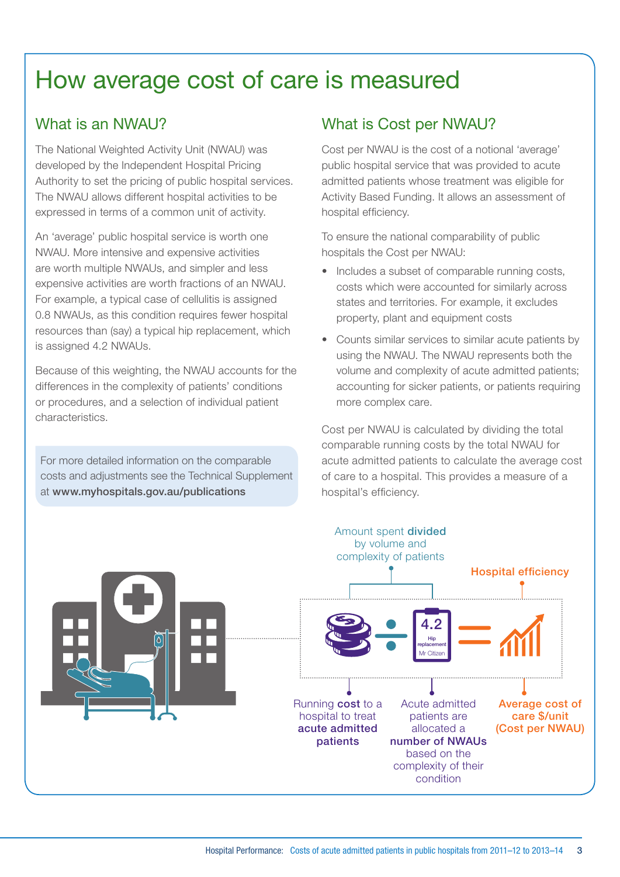## How average cost of care is measured

### What is an NWAU?

The National Weighted Activity Unit (NWAU) was developed by the Independent Hospital Pricing Authority to set the pricing of public hospital services. The NWAU allows different hospital activities to be expressed in terms of a common unit of activity.

An 'average' public hospital service is worth one NWAU. More intensive and expensive activities are worth multiple NWAUs, and simpler and less expensive activities are worth fractions of an NWAU. For example, a typical case of cellulitis is assigned 0.8 NWAUs, as this condition requires fewer hospital resources than (say) a typical hip replacement, which is assigned 4.2 NWAUs.

Because of this weighting, the NWAU accounts for the differences in the complexity of patients' conditions or procedures, and a selection of individual patient characteristics.

For more detailed information on the comparable costs and adjustments see the Technical Supplement at [www.myhospitals.gov.au/publications](http://www.myhospitals.gov.au/publications)

## What is Cost per NWAU?

Cost per NWAU is the cost of a notional 'average' public hospital service that was provided to acute admitted patients whose treatment was eligible for Activity Based Funding. It allows an assessment of hospital efficiency.

To ensure the national comparability of public hospitals the Cost per NWAU:

- Includes a subset of comparable running costs, costs which were accounted for similarly across states and territories. For example, it excludes property, plant and equipment costs
- Counts similar services to similar acute patients by using the NWAU. The NWAU represents both the volume and complexity of acute admitted patients; accounting for sicker patients, or patients requiring more complex care.

Cost per NWAU is calculated by dividing the total comparable running costs by the total NWAU for acute admitted patients to calculate the average cost of care to a hospital. This provides a measure of a hospital's efficiency.

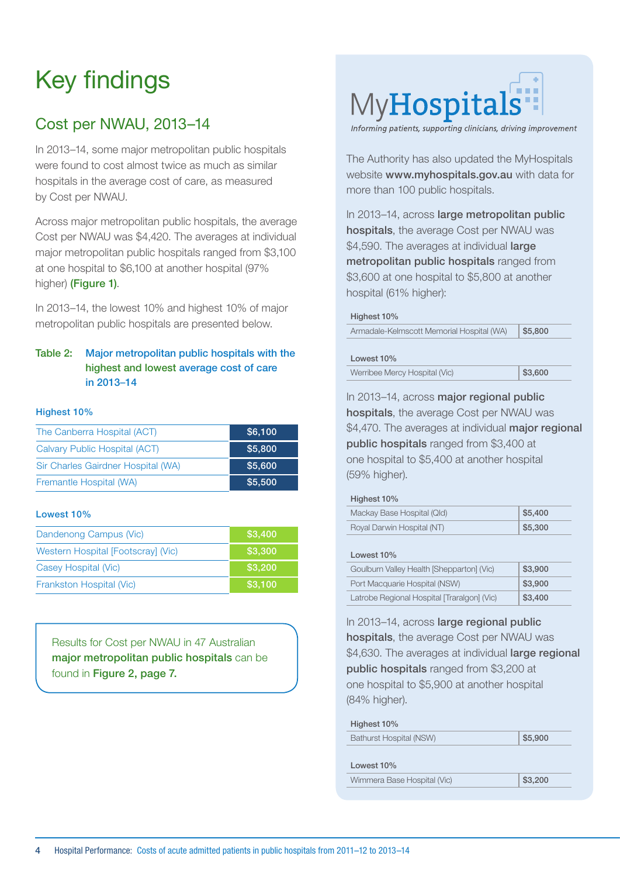# Key findings

## Cost per NWAU, 2013–14

In 2013–14, some major metropolitan public hospitals were found to cost almost twice as much as similar hospitals in the average cost of care, as measured by Cost per NWAU.

Across major metropolitan public hospitals, the average Cost per NWAU was \$4,420. The averages at individual major metropolitan public hospitals ranged from \$3,100 at one hospital to \$6,100 at another hospital (97% higher) (Figure 1).

In 2013–14, the lowest 10% and highest 10% of major metropolitan public hospitals are presented below.

#### Table 2: Major metropolitan public hospitals with the highest and lowest average cost of care in 2013–14

#### Highest 10%

| The Canberra Hospital (ACT)        | \$6,100 |
|------------------------------------|---------|
| Calvary Public Hospital (ACT)      | \$5,800 |
| Sir Charles Gairdner Hospital (WA) | \$5,600 |
| Fremantle Hospital (WA)            | \$5,500 |

#### Lowest 10%

| Dandenong Campus (Vic)             | \$3,400 |
|------------------------------------|---------|
| Western Hospital [Footscray] (Vic) | \$3,300 |
| Casey Hospital (Vic)               | \$3,200 |
| Frankston Hospital (Vic)           | \$3,100 |

Results for Cost per NWAU in 47 Australian major metropolitan public hospitals can be found in Figure 2, page 7.



Informing patients, supporting clinicians, driving improvement

The Authority has also updated the MyHospitals website [www.myhospitals.gov.au](http://www.myhospitals.gov.au ) with data for more than 100 public hospitals.

In 2013–14, across large metropolitan public hospitals, the average Cost per NWAU was \$4,590. The averages at individual large metropolitan public hospitals ranged from \$3,600 at one hospital to \$5,800 at another hospital (61% higher):

#### Highest 10%

| Armadale-Kelmscott Memorial Hospital (WA) | \$5,800 |
|-------------------------------------------|---------|
|-------------------------------------------|---------|

#### Lowest 10%

| Werribee Mercy Hospital (Vic) | $ $ \$3,600 |
|-------------------------------|-------------|
|                               |             |

In 2013–14, across major regional public hospitals, the average Cost per NWAU was \$4,470. The averages at individual major regional public hospitals ranged from \$3,400 at one hospital to \$5,400 at another hospital (59% higher).

#### Highest 10%

| Mackay Base Hospital (Qld) | \$5,400 |
|----------------------------|---------|
| Royal Darwin Hospital (NT) | \$5,300 |

#### Lowest 10%

| Goulburn Valley Health [Shepparton] (Vic)   | \$3,900 |
|---------------------------------------------|---------|
| Port Macquarie Hospital (NSW)               | \$3,900 |
| Latrobe Regional Hospital [Traralgon] (Vic) | \$3,400 |

In 2013–14, across large regional public hospitals, the average Cost per NWAU was \$4,630. The averages at individual large regional public hospitals ranged from \$3,200 at one hospital to \$5,900 at another hospital (84% higher).

#### Highest 10%

#### Lowest 10%

Wimmera Base Hospital (Vic) \$3,200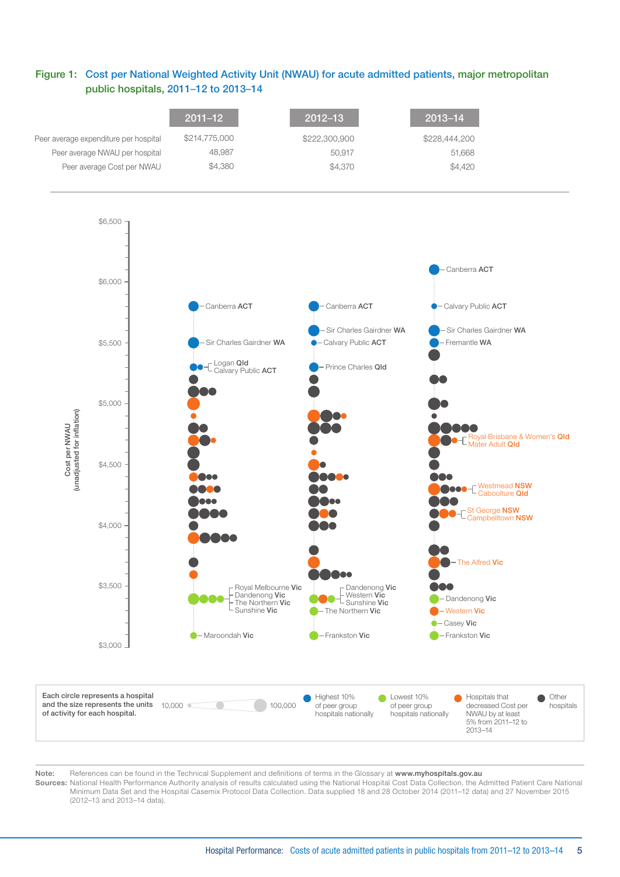#### Figure 1: Cost per National Weighted Activity Unit (NWAU) for acute admitted patients, major metropolitan public hospitals, 2011–12 to 2013–14



Note: References can be found in the Technical Supplement and definitions of terms in the Glossary at [www.myhospitals.gov.au](http://www.myhospitals.gov.au)

Sources: National Health Performance Authority analysis of results calculated using the National Hospital Cost Data Collection, the Admitted Patient Care National Minimum Data Set and the Hospital Casemix Protocol Data Collection. Data supplied 18 and 28 October 2014 (2011–12 data) and 27 November 2015 (2012–13 and 2013–14 data).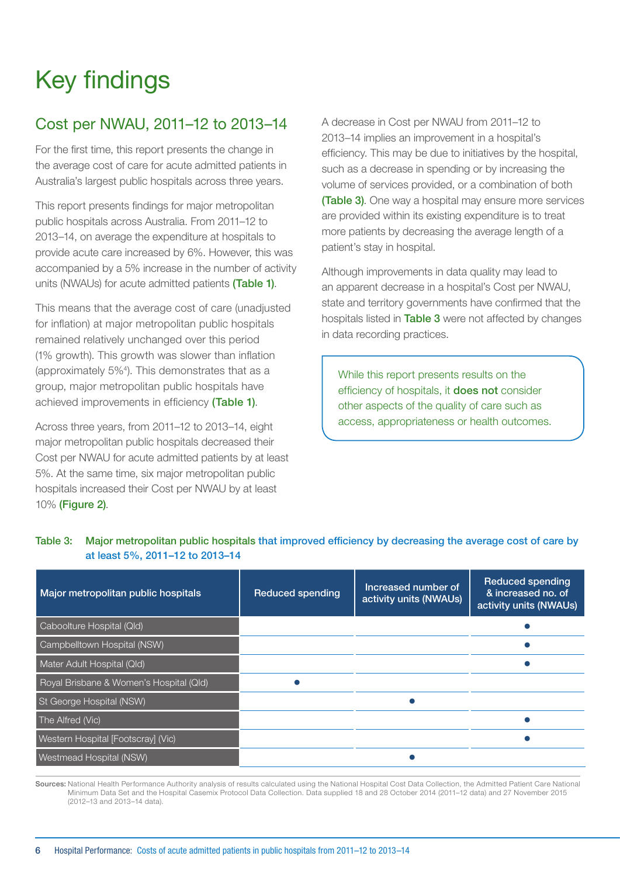# Key findings

## Cost per NWAU, 2011–12 to 2013–14

For the first time, this report presents the change in the average cost of care for acute admitted patients in Australia's largest public hospitals across three years.

This report presents findings for major metropolitan public hospitals across Australia. From 2011–12 to 2013–14, on average the expenditure at hospitals to provide acute care increased by 6%. However, this was accompanied by a 5% increase in the number of activity units (NWAUs) for acute admitted patients (Table 1).

This means that the average cost of care (unadjusted for inflation) at major metropolitan public hospitals remained relatively unchanged over this period (1% growth). This growth was slower than inflation (approximately 5%4 ). This demonstrates that as a group, major metropolitan public hospitals have achieved improvements in efficiency (Table 1).

Across three years, from 2011–12 to 2013–14, eight major metropolitan public hospitals decreased their Cost per NWAU for acute admitted patients by at least 5%. At the same time, six major metropolitan public hospitals increased their Cost per NWAU by at least 10% (Figure 2).

A decrease in Cost per NWAU from 2011–12 to 2013–14 implies an improvement in a hospital's efficiency. This may be due to initiatives by the hospital, such as a decrease in spending or by increasing the volume of services provided, or a combination of both (Table 3). One way a hospital may ensure more services are provided within its existing expenditure is to treat more patients by decreasing the average length of a patient's stay in hospital.

Although improvements in data quality may lead to an apparent decrease in a hospital's Cost per NWAU, state and territory governments have confirmed that the hospitals listed in Table 3 were not affected by changes in data recording practices.

While this report presents results on the efficiency of hospitals, it **does not** consider other aspects of the quality of care such as access, appropriateness or health outcomes.

| Major metropolitan public hospitals     | <b>Reduced spending</b> | Increased number of<br>activity units (NWAUs) | Reduced spending<br>& increased no. of<br>activity units (NWAUs) |
|-----------------------------------------|-------------------------|-----------------------------------------------|------------------------------------------------------------------|
| Caboolture Hospital (Qld)               |                         |                                               |                                                                  |
| Campbelltown Hospital (NSW)             |                         |                                               |                                                                  |
| Mater Adult Hospital (Qld)              |                         |                                               |                                                                  |
| Royal Brisbane & Women's Hospital (Qld) |                         |                                               |                                                                  |
| St George Hospital (NSW)                |                         |                                               |                                                                  |
| The Alfred (Vic)                        |                         |                                               |                                                                  |
| Western Hospital [Footscray] (Vic)      |                         |                                               |                                                                  |
| <b>Westmead Hospital (NSW)</b>          |                         |                                               |                                                                  |

Table 3: Major metropolitan public hospitals that improved efficiency by decreasing the average cost of care by at least 5%, 2011–12 to 2013–14

Sources: National Health Performance Authority analysis of results calculated using the National Hospital Cost Data Collection, the Admitted Patient Care National Minimum Data Set and the Hospital Casemix Protocol Data Collection. Data supplied 18 and 28 October 2014 (2011–12 data) and 27 November 2015 (2012–13 and 2013–14 data).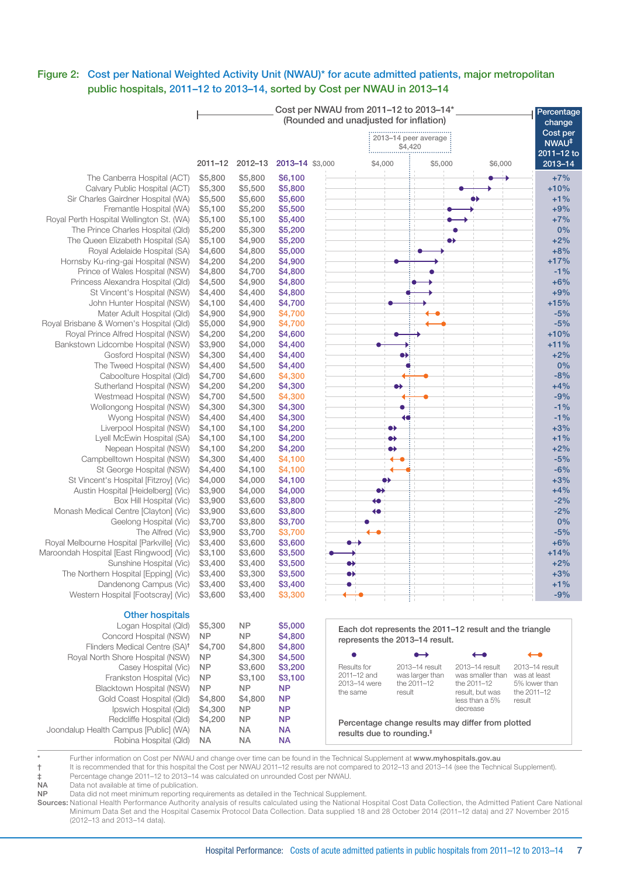#### Figure 2: Cost per National Weighted Activity Unit (NWAU)\* for acute admitted patients, major metropolitan public hospitals, 2011–12 to 2013–14, sorted by Cost per NWAU in 2013–14

|                                                                       |                    |                    |                    | Cost per NWAU from 2011-12 to 2013-14*<br>(Rounded and unadjusted for inflation) |                                                |                                 |                                                         | Percentage                   |
|-----------------------------------------------------------------------|--------------------|--------------------|--------------------|----------------------------------------------------------------------------------|------------------------------------------------|---------------------------------|---------------------------------------------------------|------------------------------|
|                                                                       |                    |                    |                    |                                                                                  |                                                |                                 |                                                         | change<br>Cost per           |
|                                                                       |                    |                    |                    |                                                                                  |                                                | 2013-14 peer average<br>\$4,420 |                                                         | NWAU <sup>‡</sup>            |
|                                                                       | $2011 - 12$        | $2012 - 13$        | 2013-14 \$3,000    |                                                                                  | \$4,000                                        | \$5,000                         | \$6,000                                                 | 2011-12 to<br>2013-14        |
| The Canberra Hospital (ACT)                                           | \$5,800            | \$5,800            | \$6,100            |                                                                                  |                                                |                                 |                                                         | $+7%$                        |
| Calvary Public Hospital (ACT)                                         | \$5,300            | \$5,500            | \$5,800            |                                                                                  |                                                |                                 |                                                         | $+10%$                       |
| Sir Charles Gairdner Hospital (WA)                                    | \$5,500            | \$5,600            | \$5,600            |                                                                                  |                                                |                                 |                                                         | $+1%$                        |
| Fremantle Hospital (WA)                                               | \$5,100            | \$5,200            | \$5,500            |                                                                                  |                                                |                                 |                                                         | $+9%$                        |
| Royal Perth Hospital Wellington St. (WA)                              | \$5,100            | \$5,100            | \$5,400            |                                                                                  |                                                |                                 |                                                         | $+7%$                        |
| The Prince Charles Hospital (Qld)                                     | \$5,200            | \$5,300            | \$5,200            |                                                                                  |                                                |                                 |                                                         | 0%                           |
| The Queen Elizabeth Hospital (SA)                                     | \$5,100            | \$4,900            | \$5,200            |                                                                                  |                                                |                                 |                                                         | $+2%$                        |
| Royal Adelaide Hospital (SA)                                          | \$4,600            | \$4,800            | \$5,000            |                                                                                  |                                                |                                 |                                                         | $+8%$                        |
| Hornsby Ku-ring-gai Hospital (NSW)                                    | \$4,200            | \$4,200            | \$4,900            |                                                                                  |                                                |                                 |                                                         | $+17%$                       |
| Prince of Wales Hospital (NSW)                                        | \$4,800            | \$4,700            | \$4,800            |                                                                                  |                                                |                                 |                                                         | $-1%$                        |
| Princess Alexandra Hospital (Qld)                                     | \$4,500            | \$4,900            | \$4,800            |                                                                                  |                                                |                                 |                                                         | $+6%$                        |
| St Vincent's Hospital (NSW)                                           | \$4,400            | \$4,400            | \$4,800            |                                                                                  |                                                |                                 |                                                         | $+9%$                        |
| John Hunter Hospital (NSW)                                            | \$4,100            | \$4,400            | \$4,700            |                                                                                  |                                                |                                 |                                                         | $+15%$                       |
| Mater Adult Hospital (Qld)<br>Royal Brisbane & Women's Hospital (Qld) | \$4,900<br>\$5,000 | \$4,900<br>\$4,900 | \$4,700<br>\$4,700 |                                                                                  |                                                |                                 |                                                         | $-5%$<br>$-5%$               |
| Royal Prince Alfred Hospital (NSW)                                    | \$4,200            | \$4,200            | \$4,600            |                                                                                  |                                                |                                 |                                                         | $+10%$                       |
| Bankstown Lidcombe Hospital (NSW)                                     | \$3,900            | \$4,000            | \$4,400            |                                                                                  |                                                |                                 |                                                         | $+11%$                       |
| Gosford Hospital (NSW)                                                | \$4,300            | \$4,400            | \$4,400            |                                                                                  |                                                |                                 |                                                         | $+2%$                        |
| The Tweed Hospital (NSW)                                              | \$4,400            | \$4,500            | \$4,400            |                                                                                  |                                                |                                 |                                                         | 0%                           |
| Caboolture Hospital (Qld)                                             | \$4,700            | \$4,600            | \$4,300            |                                                                                  |                                                |                                 |                                                         | $-8%$                        |
| Sutherland Hospital (NSW)                                             | \$4,200            | \$4,200            | \$4,300            |                                                                                  | ↔                                              |                                 |                                                         | $+4%$                        |
| Westmead Hospital (NSW)                                               | \$4,700            | \$4,500            | \$4,300            |                                                                                  |                                                |                                 |                                                         | $-9%$                        |
| Wollongong Hospital (NSW)                                             | \$4,300            | \$4,300            | \$4,300            |                                                                                  |                                                |                                 |                                                         | $-1%$                        |
| Wyong Hospital (NSW)                                                  | \$4,400            | \$4,400            | \$4,300            |                                                                                  |                                                |                                 |                                                         | $-1%$                        |
| Liverpool Hospital (NSW)                                              | \$4,100            | \$4,100            | \$4,200            |                                                                                  | ↔                                              |                                 |                                                         | $+3%$                        |
| Lyell McEwin Hospital (SA)                                            | \$4,100            | \$4,100            | \$4,200            |                                                                                  | $\bullet\hspace{-1.4pt}\bullet\hspace{-1.4pt}$ |                                 |                                                         | $+1%$                        |
| Nepean Hospital (NSW)                                                 | \$4,100            | \$4,200            | \$4,200            |                                                                                  | $\bullet\bullet$                               |                                 |                                                         | $+2%$                        |
| Campbelltown Hospital (NSW)                                           | \$4,300            | \$4,400            | \$4,100            |                                                                                  |                                                |                                 |                                                         | $-5%$                        |
| St George Hospital (NSW)                                              | \$4,400            | \$4,100            | \$4,100            |                                                                                  |                                                |                                 |                                                         | $-6%$                        |
| St Vincent's Hospital [Fitzroy] (Vic)                                 | \$4,000            | \$4,000            | \$4,100            |                                                                                  |                                                |                                 |                                                         | $+3%$                        |
| Austin Hospital [Heidelberg] (Vic)                                    | \$3,900            | \$4,000            | \$4,000            |                                                                                  |                                                |                                 |                                                         | $+4%$                        |
| Box Hill Hospital (Vic)                                               | \$3,900            | \$3,600            | \$3,800            |                                                                                  |                                                |                                 |                                                         | $-2%$                        |
| Monash Medical Centre [Clayton] (Vic)                                 | \$3,900            | \$3,600            | \$3,800            |                                                                                  |                                                |                                 |                                                         | $-2%$                        |
| Geelong Hospital (Vic)                                                | \$3,700            | \$3,800            | \$3,700            |                                                                                  |                                                |                                 |                                                         | 0%                           |
| The Alfred (Vic)                                                      | \$3,900            | \$3,700            | \$3,700            |                                                                                  |                                                |                                 |                                                         | $-5%$                        |
| Royal Melbourne Hospital [Parkville] (Vic)                            | \$3,400            | \$3,600            | \$3,600            |                                                                                  |                                                |                                 |                                                         | $+6%$                        |
| Maroondah Hospital [East Ringwood] (Vic)                              | \$3,100            | \$3,600            | \$3,500            |                                                                                  |                                                |                                 |                                                         | $+14%$                       |
| Sunshine Hospital (Vic)                                               | \$3,400            | \$3,400            | \$3,500            |                                                                                  |                                                |                                 |                                                         | $+2%$                        |
| The Northern Hospital [Epping] (Vic)                                  | \$3,400            | \$3,300            | \$3,500            |                                                                                  |                                                |                                 |                                                         | $+3%$                        |
| Dandenong Campus (Vic)<br>Western Hospital [Footscray] (Vic)          | \$3,400            | \$3,400            | \$3,400            |                                                                                  |                                                |                                 |                                                         | $+1%$<br>$-9%$               |
|                                                                       | \$3,600            | \$3,400            | \$3,300            |                                                                                  |                                                |                                 |                                                         |                              |
| <b>Other hospitals</b>                                                |                    |                    |                    |                                                                                  |                                                |                                 |                                                         |                              |
| Logan Hospital (Qld)                                                  | \$5,300            | <b>NP</b>          | \$5,000            |                                                                                  |                                                |                                 |                                                         |                              |
| Concord Hospital (NSW)                                                | <b>NP</b>          | <b>NP</b>          | \$4,800            |                                                                                  |                                                |                                 | Each dot represents the 2011-12 result and the triangle |                              |
| Flinders Medical Centre (SA) <sup>t</sup>                             | \$4,700            | \$4,800            | \$4,800            |                                                                                  | represents the 2013-14 result.                 |                                 |                                                         |                              |
| Royal North Shore Hospital (NSW)                                      | ΝP                 | \$4,300            | \$4,500            |                                                                                  |                                                | $\bullet\rightarrow$            | ←∙                                                      | ←∙                           |
| Casey Hospital (Vic)                                                  | NP.                | \$3,600            | \$3,200            | Results for                                                                      |                                                | 2013-14 result                  | 2013-14 result                                          | 2013-14 result               |
| Frankston Hospital (Vic)                                              | <b>NP</b>          | \$3,100            | \$3,100            | 2011-12 and                                                                      |                                                | was larger than                 | was smaller than                                        | was at least                 |
| Blacktown Hospital (NSW)                                              | <b>NP</b>          | <b>NP</b>          | <b>NP</b>          | 2013-14 were<br>the same                                                         | result                                         | the 2011-12                     | the 2011-12<br>result, but was                          | 5% lower than<br>the 2011-12 |
| Gold Coast Hospital (Qld)                                             | \$4,800            | \$4,800            | ΝP                 |                                                                                  |                                                |                                 | less than a 5%                                          | result                       |
| Ipswich Hospital (Qld)                                                | \$4,300            | <b>NP</b>          | ΝP                 |                                                                                  |                                                |                                 | decrease                                                |                              |
| Redcliffe Hospital (Qld)                                              | \$4,200            | <b>NP</b>          | ΝP                 |                                                                                  |                                                |                                 | Percentage change results may differ from plotted       |                              |
| Joondalup Health Campus [Public] (WA)                                 | ΝA                 | ΝA                 | <b>NA</b>          |                                                                                  | results due to rounding. <sup>#</sup>          |                                 |                                                         |                              |
| Robina Hospital (Qld)                                                 | ΝA                 | ΝA                 | <b>NA</b>          |                                                                                  |                                                |                                 |                                                         |                              |

\* Further information on Cost per NWAU and change over time can be found in the Technical Supplement at [www.myhospitals.gov.au](http://www.myhospitals.gov.au/) † It is recommended that for this hospital the Cost per NWAU 2011–12 results are not compared to 2012–13 and 2013–14 (see the Technical Supplement).

‡ Percentage change 2011–12 to 2013–14 was calculated on unrounded Cost per NWAU.

NA Data not available at time of publication.

NP Data did not meet minimum reporting requirements as detailed in the Technical Supplement.

Sources: National Health Performance Authority analysis of results calculated using the National Hospital Cost Data Collection, the Admitted Patient Care National Minimum Data Set and the Hospital Casemix Protocol Data Collection. Data supplied 18 and 28 October 2014 (2011–12 data) and 27 November 2015 (2012–13 and 2013–14 data).